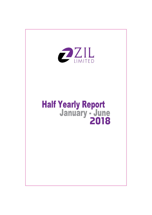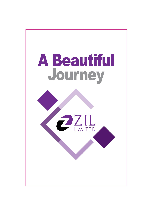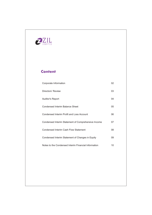

## **Content**

| Corporate Information                                | 02 |
|------------------------------------------------------|----|
| Directors' Review                                    | 03 |
| <b>Auditor's Report</b>                              | 04 |
| Condensed Interim Balance Sheet                      | 05 |
| Condensed Interim Profit and Loss Account            | 06 |
| Condensed Interim Statement of Comprehensive Income  | 07 |
| Condensed Interim Cash Flow Statement                | 08 |
| Condensed Interim Statement of Changes in Equity     | 09 |
| Notes to the Condensed Interim Financial Information | 10 |
|                                                      |    |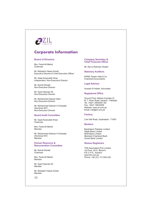

## **Corporate Information**

#### **Board of Directors**

Mrs. Feriel Ali Mehdi Chairman

Mr. Muhashir Hasan Ansari Executive Director & Chief Executive Officer

Mr. Saad Amanullah Khan Independent. Non-Executive Director

Mr. Kemal Shoaib Non-Executive Director

Mr. Sved Hasnain Ali Non-Executive Director

Mr. Muhammad Qaysar Alam Non-Executive Director

Mr. Muhammad Salman H.Chawala (Nominee NIT) Non-Executive Director

#### **Board Audit Committee**

Mr. Saad Amanullah Khan Chairman

Mrs. Feriel Ali Mehdi Member

Mr. Muhammad Salman H.Chawala (Nominee NIT) Member

#### **Human Resource & Remuneration Committee**

Mr Kemal Shoaih Chairman

Mrs. Feriel Ali Mehdi Member

Mr. Sved Hasnain Ali Member

Mr. Mubashir Hasan Ansari Memher

 $02$ 

#### **Company Secretary & Chief Financial officer**

Mr. Ata-ur-Rehman Shaikh

**Statutory Auditors** 

KPMG Taseer Hadi & Co. **Chartered Accountants** 

**Legal Advisor** 

Hussain & Haider, Advocates

#### **Registered Office**

Ground Floor, Bahria Complex III, M. T. Khan Road, Karachi - Pakistan. Tel: +9221 35630251-60 Fax: +9221 35630266 Website: www.zil.com.pk Email: info@zil.com.pk

#### **Factory**

Link Hali Road, Hyderabad - 71000

#### **Bankers**

BankIslami Pakistan Limited Habib Bank Limited **MCB Bank Limited Standard Chartered Bank** Soneri Bank Limited

#### **Shares Registrars**

THK Associated (Pvt) Limited 1st Floor, 40-C. Block-6 P.E.C.H.S., Karachi www.thk.com.pk Phone: +92 (21) 111-000-322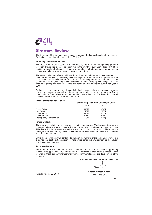

## **Directors' Review**

The Directors of the Company are pleased to present the financial results of the company for the first six month period ended June 30, 2018.

#### **Summary of Business Review:**

The gross turnover of the company is increased by 16% over the corresponding period of last year. This is due to the double digit volumetric growth of our flagship brand CAPRI. In addition to this, timely changes in the pr

The entire market was affected with the dramatic decrease in rupee valuation suppressing the expected margins by increasing raw material prices as well as other supportive services<br>cost. Gross profit remained under pressure at 27% as compared to the same period of last year which was 29%, company tried to overcome this shortcoming by increasing the absolute amount of gross profit from 206M in the last period to 220M during the current half year of 2018.

During the period under review selling and distribution costs are kept under control, whereas administrative costs increased by 15% as compared to the same period last year. Due to optimization of financial resources the financial cost declined by 16%. Accordingly overall financial performance can be termed satisfactory.

 $\sim$ 

 $\cdot$   $\cdot$   $\cdot$ 

#### **Financial Position at a Glance:**

|                              |        | Six month period from January to June |
|------------------------------|--------|---------------------------------------|
|                              | 2018   | 2017                                  |
| Gross Sales                  | 1.118M | 964M                                  |
| Net Sales                    | 823M   | 720M                                  |
| Gross Profit                 | 220M   | 206M                                  |
| Gross Profit %               | 26.7%  | 28.6%                                 |
| Profit/(Loss) after taxation | 4.9M   | (3.4M)                                |

#### **Future Outlook:**

The year was predicted to be uncertain due to the election year. The balance of payment is observed to be the worst this year which plays a key role in the health of overall economy. This destabilization requires adaptable approach in order to be on track. Therefore, the management is continuously developing strategies for better cost management and increase in its retail penetration.

While rupee devaluation will continue to dampen the margins of the company however, it is expected that post-election certainties, will provide conducive environment for the industry and the company to grow.

#### Acknowledgement:

We wish to thank our customers for their continued support. We also take this opportunity to thank our supplier, bankers, and distributors for providing us their valuable support. Finally we wish to thank our staff members for their commitment towards the development of the company.

For and on behalf of the Board of Directors

Karachi: August 20, 2018

Mubashir Hasan Ansari Director and CEO

 $0<sub>3</sub>$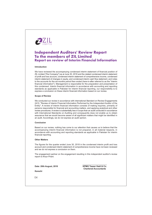

## **Independent Auditors' Review Report** To the members of ZIL Limited **Report on review of Interim Financial Information**

#### Introduction

We have reviewed the accompanying condensed interim statement of financial position of ZIL Limited ("the Company") as at June 30, 2018 and the related condensed interim statement of profit and loss account, condensed interim statement of comprehensive income, condensed interim statement of changes in equity, and condensed interim cash flow statement, and notes to the accounts for the six-months period then ended (here-in-after referred to as the "interim financial information"). Management is responsible for the preparation and presentation of this condensed. Interim financial information in accordance with accounting and reporting standards as applicable in Pakistan for interim financial reporting, our responsibility is to express a conclusion on these interim financial information based on our review.

#### **Scope of Review**

We conducted our review in accordance with international Standard on Review Engagements 2410. "Review of Interim Financial Information Performed by the Independent Auditor of the Entity". A review of interim financial information consists of making inquiries, primarily of persons responsible for financial and accounting matters, and applying analytical and other review procedures. A review is substantially less in scope than an audit conducted in accordance with International Standards on Auditing and consequently does not enable us to obtain assurance that we would become aware of all significant matters that might be identified in an audit. Accordingly, we do not express an audit opinion.

#### Conclusion

Based on our review, nothing has come to our attention that causes us to believe that the accompanying interim financial information is not prepared, in all material respects, in accordance with accounting and reporting standards as applicable in Pakistan for interim financial reporting.

#### **Other Matters**

The figures for the quarter ended June 30, 2018 in the condensed interim profit and loss account and condensed interim statement of comprehensive income have not been reviewed and we do not express a conclusion on them.

The engagement partner on the engagement resulting in this independent auditor's review report is Amyn Pirani.

Date: 20th August, 2018

**KPMG Taseer Hadi & Co. Chartered Accountants** 

Karachi

04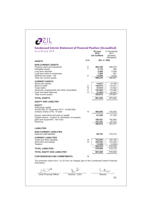| Note<br>6<br>7<br>8<br>9<br>10<br>11<br>12<br>13 | (Rs. in '000)<br>482,786<br>5,179<br>5,298<br>1,269<br>13,684<br>508,216<br>14,831<br>145,675<br>47,818<br>122,660<br>21,829<br>352,813<br>861,029 | (Restated)<br>484,275<br>290<br>5,306<br>951<br>9,025<br>499,847<br>15,798<br>173,431<br>33,543<br>115,488<br>32,547<br>370,807<br>870,654 |
|--------------------------------------------------|----------------------------------------------------------------------------------------------------------------------------------------------------|--------------------------------------------------------------------------------------------------------------------------------------------|
|                                                  |                                                                                                                                                    |                                                                                                                                            |
|                                                  |                                                                                                                                                    |                                                                                                                                            |
|                                                  |                                                                                                                                                    |                                                                                                                                            |
|                                                  |                                                                                                                                                    |                                                                                                                                            |
|                                                  |                                                                                                                                                    |                                                                                                                                            |
|                                                  | 400,000<br>61,226<br>188,551<br>101,197<br>350,974                                                                                                 | 100,000<br>61,226<br>192,954<br>97,737<br>351,917                                                                                          |
|                                                  |                                                                                                                                                    |                                                                                                                                            |
|                                                  | 86,783                                                                                                                                             | 103,013                                                                                                                                    |
| 14<br>15                                         | 225,842<br>13,538                                                                                                                                  | 192,186<br>210,000<br>13,538<br>415,724                                                                                                    |
|                                                  | 510,055                                                                                                                                            | 415,724                                                                                                                                    |
|                                                  | 861,029                                                                                                                                            | 870,654                                                                                                                                    |
| 16                                               |                                                                                                                                                    |                                                                                                                                            |
|                                                  |                                                                                                                                                    | 183,892<br>423,272<br>The annexed notes from 1 to 22 form an integral part of this condensed interim financial                             |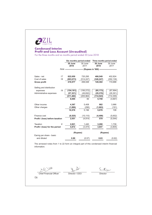

## **Condensed Interim Profit and Loss Account (Un-audited)**

For the three months and six months period ended 30 June 2018

|                                 |    | Six months period ended |                 | Three months period ended                                                   |                 |
|---------------------------------|----|-------------------------|-----------------|-----------------------------------------------------------------------------|-----------------|
|                                 |    | 30 June<br>2018         | 30 June<br>2017 | 30 June<br>2018                                                             | 30 June<br>2017 |
|                                 |    |                         |                 | Note --------------------------- (Rupees in '000) ------------------------- |                 |
|                                 |    |                         |                 |                                                                             |                 |
| Sales - net                     | 17 | 822,650                 | 720,295         | 466,549                                                                     | 402,824         |
| Cost of sales                   | 18 | (603, 073)              | (514, 247)      | (346, 247)                                                                  | (292, 136)      |
| <b>Gross profit</b>             |    | 219,577                 | 206.048         | 120,302                                                                     | 110,688         |
| Selling and distribution        |    |                         |                 |                                                                             |                 |
| expenses                        | 19 | (154, 161)              | (156, 272)      | (85, 173)                                                                   | (87, 994)       |
| Administrative expenses         |    | (57, 321)               | (49, 692)       | (29, 370)                                                                   | (26, 361)       |
|                                 |    | (211, 482)              | (205, 964)      | (114, 543)                                                                  | (114, 355)      |
|                                 |    | 8,095                   | 84              | 5,759                                                                       | (3,667)         |
| Other income                    |    | 4,367                   | 5,408           | 982                                                                         | 3,966           |
| Other charges                   |    | (1,886)                 | (296)           | (1,663)                                                                     | (191)           |
|                                 |    | 10,576                  | 5,196           | 5,078                                                                       | 108             |
| Finance cost                    |    | (8, 525)                | (10, 110)       | (4, 499)                                                                    | (5,652)         |
| Profit / (loss) before taxation |    | 2,051                   | (4.914)         | 579                                                                         | (5, 544)        |
| Taxation                        | 8  | 2,821                   | 1,440           | 3,268                                                                       | 1,739           |
| Profit / (loss) for the period  |    | 4,872                   | (3, 474)        | 3,847                                                                       | (3,805)         |
|                                 |    |                         |                 |                                                                             |                 |
|                                 |    | (Rupees)                |                 | (Rupees)                                                                    |                 |
| Earnig per share - basic        |    |                         |                 |                                                                             |                 |
| and diluted                     |    | 0.80                    | (0.57)          | 0.63                                                                        | (0.62)          |
|                                 |    |                         |                 |                                                                             |                 |

The annexed notes from 1 to 22 form an integral part of this condensed interim financial information.

un Reg

**Chief Financial Officer** 

 $\frac{1}{\sqrt{\pi}}$  $\mathcal{Q}$ 

Director / CEO

Sutti

Director

06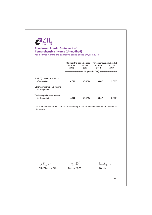

## **Condensed Interim Statement of Comprehensive Income (Un-audited)**<br>For the three months and six months period ended 30 June 2018

|                                                  |                 | Six months period ended | Three months period ended           |                 |
|--------------------------------------------------|-----------------|-------------------------|-------------------------------------|-----------------|
|                                                  | 30 June<br>2018 | 30 June<br>2017         | 30 June<br>2018                     | 30 June<br>2017 |
|                                                  |                 |                         | (Rupees in '000) ------------------ |                 |
| Profit / (Loss) for the period<br>after taxation | 4.872           | (3, 474)                | 3,847                               | (3,805)         |
| Other comprehensive income<br>for the period     |                 |                         |                                     |                 |
| Total comprehensive income<br>for the period     | 4,872           | (3, 474)                | 3,847                               | (3,805)         |

The annexed notes from 1 to 22 form an integral part of this condensed interim financial information.

 $922$ WW Chief Financial Officer

Director / CEO

Sutti

Director

07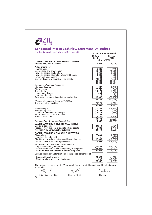| For the six months period ended 30 June 2018                                                             |                         | <b>Condensed Interim Cash Flow Statement (Un-audited)</b> |
|----------------------------------------------------------------------------------------------------------|-------------------------|-----------------------------------------------------------|
|                                                                                                          | Six months period ended |                                                           |
|                                                                                                          | 30 June<br>2018         | 30 June<br>2017                                           |
| <b>CASH FLOWS FROM OPERATING ACTIVITIES</b>                                                              | (Rs. in '000)           |                                                           |
| Profit / (Loss) before taxation                                                                          | 2,051                   | (4, 914)                                                  |
| <b>Adjustments for:</b>                                                                                  |                         |                                                           |
| Finance costs                                                                                            | 8,525<br>19,440         | 10,110<br>18,086                                          |
| Depreciation and amortisation<br>Provision against staff gratuity                                        | 5,956                   | 5.295                                                     |
| Provision against other staff retirement benefits                                                        | 1,362                   | 1,203                                                     |
| Return on bank deposits                                                                                  | (24)                    | (23)                                                      |
| Gain on disposal of operating fixed assets                                                               | (2, 266)<br>32,993      | (1,020)<br>33,651                                         |
|                                                                                                          | 35,044                  | 28,737                                                    |
| Decrease / (Increase) in assets:                                                                         |                         |                                                           |
| Stores and spares<br>Stock-in-trade                                                                      | 967<br>27,756           | (2,483)<br>(1,044)                                        |
| Trade debts                                                                                              | (14, 275)               | 2,809                                                     |
| Loans to employees                                                                                       | (664)                   | (1,649)                                                   |
| Long term deposits<br>Advances, prepayments and other receivables                                        | 8<br>10,936             | 50<br>(35,152)                                            |
|                                                                                                          | 24,728                  | (37, 469)                                                 |
| (Decrease) / increase in current liabilities:<br>Trade and other payables                                | (8,776)                 | 15,675                                                    |
|                                                                                                          | 50,996                  | 6,943                                                     |
| Income tax paid                                                                                          | (17,762)                | (14, 850)                                                 |
| Staff gratuity paid                                                                                      | (12,700)                | (2, 465)                                                  |
| Other staff retirement benefits paid<br>Return received on bank deposits                                 | (10,845)<br>24          | (1,888)<br>23                                             |
| Finance costs paid                                                                                       | (8,251)                 | (8, 146)                                                  |
|                                                                                                          | (49,534)                | (27,326)                                                  |
| Net cash flows from operating activities                                                                 | 1,462                   | (20, 383)                                                 |
| <b>CASH FLOWS FROM INVESTING ACTIVITIES</b><br>Capital expenditure                                       |                         | (7, 751)                                                  |
| Proceeds from disposal of operating fixed assets                                                         | (29, 253)<br>8,680      | 2,443                                                     |
| Net cash flows from investing activities                                                                 | (20, 573)               | (5,308)                                                   |
| <b>CASH FLOWS FROM FINANCING ACTIVITIES</b>                                                              |                         |                                                           |
| Dividend paid<br>Long-term deposits paid                                                                 | (7, 449)                | (2,925)<br>(400)                                          |
| Short term borrowings - Istisna and Salam finances                                                       | 15,000                  | (15,000)                                                  |
| Net cash flows from financing activities                                                                 | 7,551                   | (18, 325)                                                 |
| Net (decrease) / increase in cash and cash                                                               |                         |                                                           |
| equivalents during the period                                                                            | (11, 560)               | (44,016)<br>38,001                                        |
| Cash and cash equivalents at beginning of the period<br>Cash and cash equivalents at end of the period   | 32,547<br>20,987        | (6,015)                                                   |
| Cash and cash equivalents at end of the period comprises of:                                             |                         |                                                           |
| - Cash and bank balances                                                                                 | 21,829                  | 41,833                                                    |
| - Short term borrowing - running finance                                                                 | (842                    | <u>(47,848)</u>                                           |
|                                                                                                          | 20.987                  | (6,015                                                    |
| The annexed notes from 1 to 22 form an integral part of this condensed interim financial<br>information. |                         |                                                           |
|                                                                                                          |                         |                                                           |
|                                                                                                          |                         |                                                           |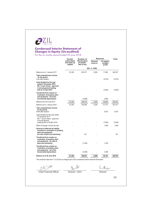

## **Condensed Interim Statement of Changes in Equity (Un-audited)**<br>For the six months period ended 30 June 2018

| Issued,                              | Surplus on                               |                    | <b>Reserves</b>                | Total    |
|--------------------------------------|------------------------------------------|--------------------|--------------------------------|----------|
| subscribed<br>and paid up<br>capital | Revaluation<br>of assets -<br>Net of tax | General<br>reserve | Un-appro-<br>priated<br>profit |          |
|                                      |                                          |                    |                                |          |
| 61,226                               | 203,371                                  | 6,000              | 71,940                         | 342,537  |
|                                      |                                          |                    | (3, 474)                       | (3, 474) |
|                                      |                                          |                    | (3,062)                        | (3,062)  |
|                                      | (3,856)                                  |                    | 3,856                          |          |
|                                      |                                          |                    |                                | 336,001  |
| 61,226                               | 192,954                                  | 6,000              | 91,737                         | 351,917  |
|                                      |                                          |                    | 4,872                          | 4,872    |
|                                      |                                          |                    | (7,654)                        | (7,654)  |
|                                      |                                          |                    | 1.408                          | 1,408    |
| recorded on revaluation of property, | 431                                      |                    |                                | 431      |
|                                      | (1, 435)                                 |                    | 1.435                          |          |
|                                      | (3,399)                                  |                    | 3,399                          |          |
| 61,226                               | 188,551                                  | 6,000              | 95,197                         | 350,974  |
|                                      | 61,226                                   | 199,518            | (Rs. in '000)<br>6,000         | 69,260   |

The annexed notes from 1 to 22 form an integral part of this condensed interim financial information.

 $945$ Director

Chief Financial Officer

Director / CEO

09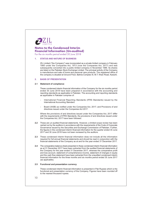

For the six months period ended 30 June 2018

#### **STATUS AND NATURE OF BUSINESS**  $4<sup>1</sup>$

ZIL Limited ("the Company") was incorporated as a private limited company in February 1960 under the Companies Act, 1913 (now the Companies Act, 2017) and was subsequently converted into a public limited company in November 1986. Its shares are listed on the Pakistan Stock Exchange Limited. The principal activity of the Company is manufacture and sale of home and personal care products. The registered office of the company is situated at Ground Floor, Bahria Complex III, M.T. Khan Road, Karachi.

#### $2<sup>2</sup>$ **BASIS OF PRESENTATION**

#### $21$ **Statement of compliance**

These condensed interim financial information of the Company for the six months period ended 30 June 2018 have been prepared in accordance with the accounting and reporting standards as applicable in Pakistan. The accounting and reporting standards as applicable in Pakistan comprise of:

- International Financial Reporting Standards (IFRS Standards) issued by the International Accounting Standard.
- Board (IASB) as notified under the Companies Act, 2017; and Provisions of and directives issued under the Companies Act 2017.

Where the provisions of and directives issued under the Companies Act, 2017 differ with the requirements of IFRS Standards, the provisions of and directives issued under the Companies Act, 2017 have been followed.

- 2.2 These are un-audited financial statements. However, a limited scope review has been carried out by the auditors in accordance with the requirements of the Code of Corporate Governance issued by the Securities and Exchange Commission of Pakistan. Further, the figures in the condensed interim financial information for the quarter ended 30 June 2017 and 30 June 2018 have not been reviewed by the auditors.
- 2.3 These condensed interim financial information does not include all the information required for full annual financial statements and should be read in conjunction with the financial statements of the Company as at and for the year ended 31 December 2017.
- 2.4 The comparative balance sheet presented in these condensed interim financial information as at 31 December 2017 have been extracted from the audited financial statements of the Company for the year ended 31 December 2017, whereas the comparative profit and loss account, statement of comprehensive income, statement of changes in equity and the cash flow statement have been extracted from the unaudited condensed interim financial information for the three months and six months period ended 30 June 2017 (as applicable).

#### 2.5 Functional and presentation currency

These condensed interim financial information is presented in Pak Rupees which is the functional and presentation currency of the Company. Figures have been rounded off to the nearest thousand rupees.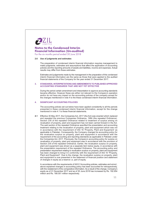

For the six months period ended 30 June 2018

#### 2.6 Use of judgments and estimates

The preparation of condensed interim financial information requires management to make judgments, estimates and assumptions that affect the application of accounting policies and the reporting amounts of assets and liabilities, income and expenses. Actual results may differ from these estimates.

Estimates and judgements made by the management in the preparation of this condensed interim financial information are the same as those that were applied to the audited financial statements of the Company for the year ended 31 December 2017.

#### STANDARDS, INTERPRETATIONS AND AMENDMENTS TO PUBLISHED APPROVED  $\overline{3}$ **ACCOUNTING STANDARDS THAT ARE NOT YET EFFECTIVE**

During the period certain amendment and interpretation to approve accounting standards became effective. However these are either not relevant to the Company's operation and/or do not have any impact on the accounting policies of the company except for the changes menttioned in note 4 to the these condensed interim financial information.

#### $\blacktriangle$ **SIGNIFICANT ACCOUNTING POLICIES**

The accounting policies set out below have been applied consistently to all the periods presented in these condensed interim financial information, except for the change mentioned in note 4.1 to these financial statements.

Effective 30 May 2017, the Companies Act, 2017 (the Act) was enacted which replaced  $41$ and repealed the previous Companies Ordinance, 1984 (the repealed Ordinance). Section 235 of the repealed Ordinance related to treatment of surplus arising on revaluation of property, plant and equipment has not been carried forward in the Act. The said section of the repealed Ordinance specified the presentation and accounting treatment relating to the revaluation of property, plant and equipment which was not<br>in accordance with the requirement of IAS 16 'Property, Plant and Equipment' as applicable in Pakistan. Consequently, the Company changed its accounting policy for the revaluation surplus on property, plant and equipment in accordance with the requirement of the accounting and reporting standards as applicable in Pakistan under the Companies Act, 2017. Previously, the Company's accounting policy for surplus on revaluation of property, plant and equipment was in accordance with the provision of Section 235 of the repealed Ordinance. Earlier, the revaluation surplus on property, plant and equipment was shown as a separate item below equity, in accordance with the presentation requirement of the repealed Ordinance. The accounting policy and presentation requirement relating to revaluation surplus on property, plant and equipment has been changed to bring it in conformity with the requirement of IAS 16 "Property, Plant and Equipment". Due to the change, the revaluation surplus on property, plant and equipment is now presented in the statement of financial position and statement of changes in equity as a reserve i.e. part of equity.

In accordance with the requirements of IAS 8 'Accounting policies, estimates and errors', above explained changes in accounting policy has been accounted for retrospectively, with the restatement of the comparative information. As a result of the change, Company's equity as of 31 December 2017 and as of 30 June 2018 has increased by Rs. 192.954 million and Rs. 188.551 million respectively.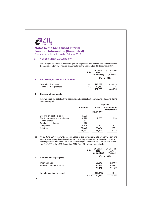

For the six months period ended 30 June 2018

#### **FINANCIAL RISK MANAGEMENT**  $5.$

The Company's financial risk management objectives and policies are consistent with those disclosed in the financial statements for the year ended 31 December 2017.

|    |                                      | <b>Note</b> | 30 June<br>2018<br>(Un-audited) | 31 December<br>2017<br>(Audited) |
|----|--------------------------------------|-------------|---------------------------------|----------------------------------|
| 6. | <b>PROPERTY, PLANT AND EQUIPMENT</b> |             | (Rs. in '000)                   |                                  |
|    | Operating fixed assets               | 6.1         | 470.599                         | 458.029                          |
|    | Capital work-in-progress             | 6.3         | 12.159                          | 26.246                           |
|    |                                      |             | 482.758                         | 484,275                          |

#### 6.1 Operating fixed assets

Following are the details of the additions and disposals of operating fixed assets during the current period.

|                                |                  |        | <b>Disposals</b>                   |
|--------------------------------|------------------|--------|------------------------------------|
|                                | <b>Additions</b> | Cost   | <b>Accumulated</b><br>depreciation |
|                                |                  |        | (Rs. in '000) -----------------    |
| Building on freehold land      | 3.933            |        |                                    |
| Plant, machinery and equipment | 16,228           | 2.968  | 298                                |
| Capital spares                 | 3.372            |        |                                    |
| Furniture and fixtures         | 126              |        |                                    |
| Computers                      | 4,948            | 1,285  | 972                                |
| Vehicles                       | 10,666           | 11,546 | 8,105                              |
|                                | 39.273           | 15.799 | 9.375                              |

6.2 At 30 June 2018, the written down value of the temporarily idle property, plant and equipments comprising leasehold land and improvements on leasehold land and building thereon amounted to Rs. 84.254 million (31 December 2017: Rs. 85.494 million) and Rs 1.539 million (31 December 2017 Rs. 1.62 million) respectively.

|     |                                                | <b>Note</b> | 30 June<br>2018<br>(Un-audited) | 31 December<br>2017<br>(Audited) |
|-----|------------------------------------------------|-------------|---------------------------------|----------------------------------|
| 6.3 | Capital work-in-progress                       |             | (Rs. in '000)                   |                                  |
|     | Opening balance<br>Additions during the period |             | 26,246<br>25,186<br>51,432      | 22,196<br>48,961<br>71,157       |
| 12  | Transfers during the period                    | 6.3.1       | (39, 273)<br>12,159             | (44,911)<br>26,246               |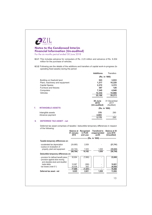

For the six months period ended 30 June 2018

**6.3.1** This includes advance for computers of Rs. 2.23 million and advance of Rs. 9.204 million for the purchase of vehicles.

6.3.2 Following are the details of the additions and transfers of capital work-in-progress (to operating fixed assets) during the period:

|    |                                | <b>Additions</b>                | Transfers                        |
|----|--------------------------------|---------------------------------|----------------------------------|
|    |                                |                                 | (Rs. in '000)                    |
|    | Building on freehold land      | 523                             | 3,933                            |
|    | Plant, machinery and equipment | 1,217                           | 16,228                           |
|    | <b>Capital Spares</b>          | 3,372                           | 3,372                            |
|    | Furniture and fixtures         | 397                             | 126                              |
|    | Computers                      | 7,345                           | 4,948                            |
|    | Vehicles                       | 12,332                          | 10,666                           |
|    |                                | 25,186                          | 39,273                           |
|    |                                |                                 |                                  |
|    |                                | 30 June<br>2018<br>(Un-audited) | 31 December<br>2017<br>(Audited) |
| 7. | <b>INTANGIBLE ASSETS</b>       | (Rs. in '000)                   |                                  |
|    | Intangible assets              | 376                             | 290                              |
|    | Advance payment                | 4,803                           |                                  |
|    |                                | 5,179                           | 290                              |

#### **DEFERRED TAX ASSET - net**  $8.$

Deferred tax asset comprises of taxable / deductible temporary differences in respect of the following:

|                                                                                                             | <b>Balance at</b><br>01 January<br>2018 | Recognized<br>in Profit<br>and Loss | Transfered to<br>unappropriated<br>profit | <b>Balance at 30</b><br><b>June 2018</b><br>(Unaudited) |
|-------------------------------------------------------------------------------------------------------------|-----------------------------------------|-------------------------------------|-------------------------------------------|---------------------------------------------------------|
|                                                                                                             |                                         |                                     | (Rs. in '000) --------------------------  |                                                         |
| Taxable temporary differences on:                                                                           |                                         |                                     |                                           |                                                         |
| - accelerated tax depreciation<br>- surplus on revaluation of                                               | (24, 680)                               | 2,939                               |                                           | (21, 741)                                               |
| property, plant and equipment                                                                               | (44,104)<br>(68,784)                    | 7,223<br>10,162                     | 1,838<br>1,838                            | (35, 043)<br>(56, 784)                                  |
| Deductible temporary differences on:                                                                        |                                         |                                     |                                           |                                                         |
| - provision for defined benefit plans<br>- provision against slow moving<br>and obsolete stock and doubtful | 30,904                                  | (7, 895)                            |                                           | 23,009                                                  |
| trade debts                                                                                                 | 10,967                                  | (366)                               |                                           | 10,601                                                  |
| - tax losses (note 8.1)                                                                                     | 35,938                                  | 920                                 |                                           | 36,858                                                  |
|                                                                                                             | 77,809                                  | (7, 341)                            |                                           | 70,468                                                  |
| Deferred tax asset - net                                                                                    | 9,025                                   | 2,821                               | 1,838                                     | 13,684                                                  |
|                                                                                                             |                                         |                                     |                                           |                                                         |
|                                                                                                             |                                         |                                     |                                           | 13                                                      |
|                                                                                                             |                                         |                                     |                                           |                                                         |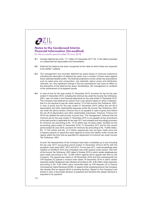

For the six months period ended 30 June 2018

- Includes deferred tax of Rs. 17.1 million (31 December 2017: Rs. 13.45 million) recorded 81 on unabsorbed tax depreciation and amortisation.
- 8.2 Deferred tax balance has been recognised at the rates at which these are expected to be settled / realised.
- The management has recorded deferred tax asset based on financial projections 8.3 indicating the absorption of deferred tax asset over a number of future years against future expected taxable profits. The financial projections involve certain key assumptions such as sales price and composition, raw materials, labour prices and distribution channels, etc. Any significant change in the key assumptions may have an effect on the absorption of the deferred tax asset. Nonetheless, the management is confident of the achievement of its targeted results.
- 8.4 In view of loss for the year ended 31 December 2015, provision for tax for the year ended 31 December 2015, including the minimum tax under the Income Tax Ordinance, 2001, was not made in the financial statements for the year ended 31 December 2015. The Company had obtained an opinion from a tax advisor based on which it believes that it is not required to pay tax under section 113 of the Income Tax Ordinance, 2001, in view of gross loss for the year ended 31 December 2015, before the set off of depreciation and other inadmissible expenses under the Income Tax Ordinance, 2001 (as under the above section minimum tax is not payable in case of gross loss before the set off of depreciation and other inadmissible expenses). However, Finance Act 2016 has deleted the said proviso of gross loss. The management, believes that the minimum tax for the year ended 31 December 2015 is not payable as the amendment to the said proviso is applicable for tax year 2017 and onwards and accordingly provision for minimum tax amounting to Rs. 14.23 million has not been made. Similarly for the accounting years ended 31 December 2016, 31 December 2017 and for the current period ended 30 June 2018, provision for minimum tax amounting to Rs. 15.865 million, Rs. 17.722 million and Rs. 10.3 million respectively has not been made since the Company expects to adjust the same against its future tax liability under normal tax regime within the time limit as specified for adjustment of minimum tax under Income Tax Ordinance, 2001.

Income Tax Assessments of the Company have been completed up to and including the tax year 2017 (accounting period ended 31 December 2016 & 2015) with the exception of tax years 2007, 2011 and 2012. For tax year 2011, audit proceedings were initiated on 09 March 2012 and completed vide order passed under section 122(1)(5) of the Income Tax Ordinance, 2001 dated 4 October 2016 in which certain disallowances were made amounting to Rs. 12.289 million against which appeal was filed by the Company. The appeal was heard on 28 November 2016 and then subsequently the CIR Appeals (II) passed a revised order dated 19 December 2016 in which certain expenses earlier disallowed were allowed amounting to Rs. 4.66 million while expenses amounting to Rs. 6.65 million were remanded back by CIR Appeals (II) to Deputy Commissioner Inland Revenue (DCIR). In respect of the remaining amount, the Company has already filed an appeal which is pending decision. Based on the Company's tax advisor's view, a favourable decision is expected and therefore the subject demand is expected to be quashed.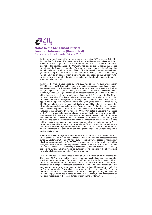

For the six months period ended 30 June 2018

Furthermore, on 21 April 2015, an order under sub-section (5A) of section 122 of the Income Tax Ordinance, 2001 was passed by the Additional Commissioner Inland Revenue for the tax year 2012, in which tax demand of Rs. 0.75 million was raised against certain disallowances. The Company has filed an appeal against the alleged order before the Commissioner Inland Revenue who vide its order dated 8 September 2016 has allowed certain expenses of Rs. 1.82 million which were earlier disallowed (tax effect being Rs. 0.65 million). In respect of the remaining amount, the Company has already filed an appeal which is pending decision. Based on the Company's tax advisor's view, a favourable decision is expected and therefore the subject demand is expected to be quashed.

Return for the financial year ended 30 June 2007 was selected for audit under section 177 of Income Tax Ordinance 2001 and an amended assessment order dated 30 March 2009 was passed in which certain disallowances were made by the taxation authorities. Disagreeing to the above, the Company filed an appeal before the Commissioner Inland Revenue, Appeal (CIR-A) and also filed an appeal before the CIR-A against the refusal of the Taxation Officer to rectify certain mistakes. The CIR-A vide his order No. 15 and 16 dated 25 October 2011 deleted all the additions except for the alledged unreconciled production of manufactured goods amounting to Rs. 3.3 million. The Company filed an appeal before Appellate Tribunal Inland Revenue (ATIR) vide letter AT 84 dated 13 July 2012 for not allowing relief in respect of disallowance of Rs. 3.3 million on account of alledged unreconciled production of manufactured goods. Further, the tax department has also filed an appeal before ATIR on certain reliefs of Rs. 4.8 million earlier decided in favour of the Company. In the Appellate Order (AO) dated 8 October 2013 passed by the ATIR, the issue of unreconciled production was deleted (decided in favour of the Company) and simultaneously setting aside the same for reverification. In response to it the department filed MA in response to which, ATIR passed AO dated 5 May 2015 by remanding back the issue for reverification of unreconciled difference, strictly in the light of history of the case and subsequent years. Following the judgement of ATIR. department has initiated set-aside proceedings. The Company has submitted the response and details regarding unreconciled production. No order has been passed by the department in relation to the set-aside proceedings. The Company expects a decision in its favour.

Returns for the financial years ended 30 June 2014 and 2015 were selected for audit under section 177 of Income Tax Ordinance 2001 and amended assessment orders dated 22 September 2017 and 18 April 2017 respectively were passed in which certain disallowances aggregating to Rs.53.559 million were made by the taxation authorities. Disagreeing to the above, the Company filed appeals before the CIR-A dated 13 October 2017 and 27 March 2017 respectively which is pending decision. However, the Company expects no material adverse impact as sufficient provisions against the above orders have already been recorded in this financial statement.

The Finance Act, 2015 introduced a new tax under Section 5A of the Income Tax Ordinance, 2001 on every public company other than a scheduled bank or modaraba, which was amended through Finance Act, 2018 and applicable for tax year 2019 and onwards. The amendment has imposed tax at five percent of the accounting profit before tax on every public company other than a scheduled bank or a modaraba, that derives profit for a tax year but does not distribute at least 20 percent of its after tax profit within six months of the end of the tax year through cash or bonus. The Company intends to distribute sufficient dividend for the accounting year ending 31 December 2018 to comply with the above stated requirement. Accordingly, no provision for taxation has been recognised in these condensed interim financial information.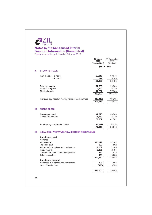| limited |  |
|---------|--|

# **Notes to the Condensed Interim<br>Financial Information (Un-audited)**<br>For the six months period ended 30 June 2018

|                 |                                                       | 30 June<br>2018 | 31 December<br>2017 |
|-----------------|-------------------------------------------------------|-----------------|---------------------|
|                 |                                                       | (Un-audited)    | (Audited)           |
|                 |                                                       |                 | (Rs. in '000)       |
| 9.              | <b>STOCK-IN-TRADE</b>                                 |                 |                     |
|                 | Raw material - in hand                                | 59,816          | 80,646              |
|                 | - in transit                                          | 577             | 5,789               |
|                 |                                                       | 60,393          | 86,435              |
|                 | Packing material                                      | 22,885          | 20,969              |
|                 | Work-in-progress                                      | 7,920           | 6,379               |
|                 | Finished goods                                        | 72,792          | 77,963              |
|                 |                                                       | 163,990         | 191,746             |
|                 | Provision against slow moving items of stock-in-trade | (18, 315)       | (18, 315)           |
|                 |                                                       | 145,675         | 173,431             |
|                 |                                                       |                 |                     |
| 10 <sub>1</sub> | <b>TRADE DEBTS</b>                                    |                 |                     |
|                 | Considered good                                       | 47,818          | 33,543              |
|                 | Considered doubtful                                   | 8,239           | 8,239               |
|                 |                                                       | 56,057          | 41,782              |
|                 | Provision against doubtful debts                      | (8, 239)        | (8,239)             |
|                 |                                                       | 47,818          | 33,543              |
|                 |                                                       |                 |                     |
| 11.             | <b>ADVANCES, PREPAYMENTS AND OTHER RECEIVABLES</b>    |                 |                     |
|                 | <b>Considered good</b><br>Advance                     |                 |                     |
|                 | - for taxation                                        | 115,029         | 97,267              |
|                 | - to sales staff                                      | 502             | 502                 |
|                 | Advances to suppliers and contractors                 | 2,762           | 1,545               |
|                 | Prepayments                                           | 3,395           | 2,491               |
|                 | Current maturity of loans to employees                | 821             | 475                 |
|                 | Other receivables                                     | 151<br>122,660  | 13,208<br>115,488   |
|                 | <b>Considered doubtful</b>                            |                 |                     |
|                 | Advances to suppliers and contractors                 | 803             | 803                 |
|                 | Less: Provision held                                  | (803)           | (803)               |
|                 |                                                       |                 |                     |
|                 |                                                       | 122,660         | 115,488             |
|                 |                                                       |                 |                     |
| 16              |                                                       |                 |                     |
|                 |                                                       |                 |                     |
|                 |                                                       |                 |                     |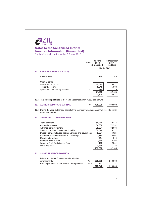|     |                                                                                                                   | Note | <b>30 June</b><br>2018<br>(Un-audited) | 31 December<br>2017<br>(Audited) |
|-----|-------------------------------------------------------------------------------------------------------------------|------|----------------------------------------|----------------------------------|
|     |                                                                                                                   |      |                                        | (Rs. in '000)                    |
| 12. | <b>CASH AND BANK BALANCES</b>                                                                                     |      |                                        |                                  |
|     | Cash in hand                                                                                                      |      | 170                                    | 62                               |
|     | Cash at banks                                                                                                     |      |                                        |                                  |
|     | - collection accounts                                                                                             |      | 15,625                                 | 26,427                           |
|     | - current accounts                                                                                                |      | 5,540                                  | 5,983                            |
|     | - profit and loss sharing account                                                                                 | 12.1 | 494<br>21,659                          | 75<br>32,485                     |
|     |                                                                                                                   |      | 21,829                                 | 32,547                           |
|     |                                                                                                                   |      |                                        |                                  |
|     | 12.1 This carries profit rate at 4.5% (31 December 2017: 4.5%) per annum.                                         |      |                                        |                                  |
|     |                                                                                                                   |      |                                        |                                  |
| 13. | <b>AUTHORISED SHARE CAPITAL</b>                                                                                   | 13.1 | 400,000                                | 100,000                          |
|     | 13.1 During the year, authorized capital of the Company was increased from Rs. 100 million<br>to Rs. 400 million. |      |                                        |                                  |
| 14. | <b>TRADE AND OTHER PAYABLES</b>                                                                                   |      |                                        |                                  |
|     |                                                                                                                   |      |                                        |                                  |
|     | Trade creditors                                                                                                   |      | 54,210<br>54,000                       | 50,445<br>71,531                 |
|     | Accrued expenses<br>Advance from customers                                                                        |      | 32,304                                 | 32,586                           |
|     | Sales tax payable (subsequently paid)                                                                             |      | 32,540                                 | 23,921                           |
|     | Deposit from employees against vehicles and equipments                                                            |      | 2,884                                  | 4,621                            |
|     | Accrued mark-up on short term borrowings                                                                          |      | 3,275                                  | 3,001                            |
|     | Unclaimed dividend                                                                                                |      | 914                                    | 914                              |
|     | Workers' welfare fund                                                                                             |      | 2,240<br>109                           | 2,198<br>2,241                   |
|     | Workers' Profit Participation Fund<br>Other liabilities                                                           |      | 1,416                                  | 728                              |
|     |                                                                                                                   |      | 183,892                                | 192,186                          |
| 15. | <b>SHORT TERM BORROWINGS</b>                                                                                      |      |                                        |                                  |
|     | Istisna and Salam finances - under shariah                                                                        |      |                                        |                                  |
|     | arrangements                                                                                                      | 15.1 | 225,000                                | 210,000                          |
|     | Running finance - under mark-up arrangements                                                                      | 15.2 | 842<br>225,842                         | 210,000                          |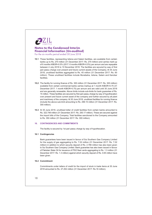

For the six months period ended 30 June 2018

- 15.1 These facilities, representing Istisna and Salam facilities, are available from certain banks up to Rs. 270 million (31 December 2017: Rs. 270 million) and carries mark-up of 6 months KIBOR+0.5% (2017: 6 months KIBOR+0.5%) per annum and are repayable between 4 July 2018 to 10 November 2018. The facilities are secured by way of first pari passu charge over present and future current assets of the Company. At 30 June 2018, unutilised facilities aggregated to Rs. 45 million (31 December 2017: Rs. 60 million). These unutilised facilities include Murabaha, Istisna, Salam and Karobar facilities.
- 15.2 The facility for running finance of Rs. 300 million (31 December 2017: Rs. 300 million) available from certain commercial banks carries markup at 1 month KIBOR+0.75 (31 December 2017: 1 month KIBOR+0.75) per annum and are valid until 30 June 2018 and are generally renewable. Above limits include sub-limits for bank guarantee of Rs. 15 million. These facilities are secured by first pari passu charge by way of hypothecation over present and future current asset of the company and further secured by all plant and machinery of the company. At 30 June 2018, unutilized facilities for running finance (include the above sub-limit amounting to Rs. 299.15 million (31 December 2017: Rs. 300 million).
- 15.3 At 30 June 2018, unutilised letter of credit facilities from certain banks amounted to Rs. 322.748 million (31 December 2017: Rs. 250.17 million). These are secured against the import bills of the Company. Total facilities sanctioned to the Company amounted to Rs. 350 million (31 December 2017: Rs. 300 million).

#### **16. CONTINGENCIES AND COMMITMENTS**

The facility is secured by 1st pari passu charge by way of hypothecation.

#### 16.1 Contingencies

Bank guarantees have been issued in favour of Sui Southern Gas Company Limited for the supply of gas aggregating to Rs. 7.02 million (31 December 2017: Rs. 7.02 million) in addition to which security deposit of Rs. 2.786 million has also been given to Sui Southern Gas Company Limited. Bank guarantee has also been issued in favour of Pakistan State Oil for issuance of PSO fleet cards aggregating to Rs. 1.3 million (31 December 2017: Rs. 1.3 million) against which security deposit of Rs. 0.65 million have been given.

#### 16.2 Commitment

Commitments under letters of credit for the import of stock in trade items at 30 June 2018 amounted to Rs. 27.252 million (31 December 2017: Rs.16 million).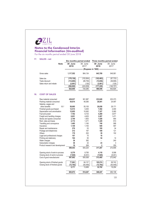

Printing and stationery

Subscription charges

Product research and development

Opening stock of work-in-process

Closing stock of work-in-process

Opening stock of finished goods

Closing stock of finished goods

Cost of good manufactured

Water charges

## **Notes to the Condensed Interim Financial Information (Un-audited)**

For the six months period ended 30 June 2018

| 17. | <b>SALES - net</b>                                                                                  |                                                              |                                                           | Six months period ended Three months period ended                     |                                                          |
|-----|-----------------------------------------------------------------------------------------------------|--------------------------------------------------------------|-----------------------------------------------------------|-----------------------------------------------------------------------|----------------------------------------------------------|
|     | <b>Note</b>                                                                                         | 30 June<br>2018                                              | 30 June<br>2017                                           | 30 June<br>2018                                                       | 30 June<br>2017                                          |
|     |                                                                                                     |                                                              |                                                           | ------------------------- (Rupees in '000) -------------------------- |                                                          |
|     | Gross sales                                                                                         | 1,117,552                                                    | 964,134                                                   | 643,769                                                               | 549,581                                                  |
|     | Sales tax<br>Trade discount<br>Sales return and rebate                                              | (178, 136)<br>(114, 685)<br>(2,081)<br>(294, 902)<br>822,650 | (153, 954)<br>(89, 759)<br>(126)<br>(243, 839)<br>720,295 | (102, 483)<br>(72, 656)<br>(2,081)<br>(177, 220)<br>466,549           | (87, 733)<br>(58, 898)<br>(126)<br>(146, 757)<br>402.824 |
| 18. | <b>COST OF SALES</b>                                                                                |                                                              |                                                           |                                                                       |                                                          |
|     | Raw material consumed<br>Packing material consumed<br>Salaries, wages and                           | 438,037<br>54,614                                            | 361,987<br>49,380                                         | 233,849<br>28,001                                                     | 203,373<br>24,497                                        |
|     | other benefits<br>18.1<br>Finished goods purchased<br>Depreciation and amortisation                 | 58.685<br>12,515<br>12,655                                   | 55,155<br>5,400<br>10,062                                 | 28,658<br>7,392<br>7,327                                              | 28,171<br>2,400<br>5,060                                 |
|     | Fuel and power<br>Freight and handling charges<br>Stores and spares consumed                        | 7,762<br>6,651<br>2,749                                      | 6,733<br>4,625<br>1,953                                   | 4,269<br>3,287<br>1,428                                               | 3,877<br>1,471<br>954<br>913                             |
|     | Rent, rates and taxes<br>Travelling and conveyance<br>Insurance                                     | 2,172<br>1,485<br>1,149                                      | 1,271<br>1,160<br>1,193                                   | 1,329<br>740<br>549                                                   | 568<br>597                                               |
|     | Repair and maintenance<br>Postage and telephones<br><b>Others</b><br>Legal and professional charges | 276<br>212<br>179<br>107                                     | 53<br>197<br>252<br>70                                    | 195<br>109<br>39<br>16                                                | 34<br>121<br>152<br>$\overline{\phantom{a}}$             |

104

36

36

 $19$ 

599,443

6,379

 $(7,920)$ 

597,902

77,963

 $(72, 792)$ 

 $\frac{1}{5,171}$ 

603,073

50

382

32

269

500,224

8,785

 $(8, 451)$ 

500,558

64,137

 $(50, 448)$ 

13,689

514,247

54

÷,

23

317,267

4,118

 $(7,920)$ 

313,465

105,574

 $(72, 792)$ 

 $32,782$ 

346,247

 $\boldsymbol{2}$ 

 $19$ 

 $14$ 

240

250

272,695

8,598

 $(8, 451)$ 

272,842 69,742

 $(50, 448)$ 

 $\frac{1}{19,294}$ 

292,136

 $\mathcal{R}$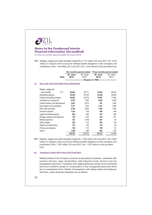

For the six months period ended 30 June 2018

18.1 Salaries, wages and other benefits include Rs, 4.717 million (30 June 2017; Rs, 4.401) million) in respect of the accrual for defined benefit obligations of the Company and contribution of Rs. 1.06 million (30 June 2017: Rs. 1.079 million) to the provident fund.

|     |                                          | Six months period ended |         |         | Three months period ended                                                |         |
|-----|------------------------------------------|-------------------------|---------|---------|--------------------------------------------------------------------------|---------|
|     |                                          |                         | 30 June | 30 June | 30 June                                                                  | 30 June |
|     |                                          | <b>Note</b>             | 2018    | 2017    | 2018                                                                     | 2017    |
|     |                                          |                         |         |         | ---------------------------- (Rupees in '000) -------------------------- |         |
| 19. | <b>SELLING AND DISTRIBUTION EXPENSES</b> |                         |         |         |                                                                          |         |
|     | Salaries, wages and                      |                         |         |         |                                                                          |         |
|     | other benefits                           | 19.1                    | 62,464  | 52,771  | 32,494                                                                   | 26,483  |
|     | Advertising expense                      |                         | 38,302  | 54,150  | 25,260                                                                   | 38,800  |
|     | Freight and handling charges             |                         | 28,950  | 25,472  | 15,897                                                                   | 11,855  |
|     | Travelling and conveyance                |                         | 8,972   | 7,020   | 4,836                                                                    | 3,529   |
|     | Product research and development         |                         | 3,981   | 3,814   | 401                                                                      | 1,940   |
|     | Depreciation and amortisation            |                         | 3,371   | 3,331   | 1,527                                                                    | 1,668   |
|     | Rent, rates and taxes                    |                         | 2,780   | 2,844   | 1,303                                                                    | 1,493   |
|     | Insurance expense                        |                         | 1,010   | 918     | 496                                                                      | 448     |
|     | Legal and Professional fee               |                         | 860     | 668     | 491                                                                      | 284     |
|     | Postage, telegram and telephone          |                         | 794     | 1.105   | 544                                                                      | 571     |
|     | Meeting expenses                         |                         | 532     | 2,759   | 481                                                                      | 34      |
|     | Utility charges                          |                         | 284     | 312     | 202                                                                      | 195     |
|     | Repair and maintenance                   |                         | 275     | 126     | 170                                                                      | 66      |
|     | Printing and stationery                  |                         | 186     | 173     | 108                                                                      | 112     |
|     | <b>Others</b>                            |                         | 1,400   | 809     | 963                                                                      | 516     |
|     |                                          |                         | 154,161 | 156,272 | 85,173                                                                   | 87,994  |

19.1 Salaries, wages and other benefits include Rs. 1.003 million (30 June 2017: Rs. 0.824 million) in respect of the accrual for defined benefit obligations of the Company and contribution of Rs. 1.397 million (30 June 2017: Rs. 1.307 million) to the provident  $fund$ 

#### 20. TRANSACTIONS WITH RELATED PARTIES

Related parties of the Company comprise of associated companies, companies with common directors, major shareholders, staff retirement funds, directors and key management personnel. Transaction with related parties are carried out at commercial terms and conditions except for compensation to key management personnel which are on employment terms. Details of transactions with related parties and balances with them, unless disclosed elsewhere are as follows: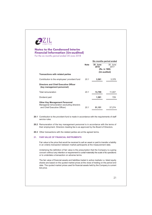

For the six months period ended 30 June 2018

| <b>Note</b> | 30 June<br>2018<br>(Un-audited) | 30 June<br>2017<br>(Rs. in '000) |
|-------------|---------------------------------|----------------------------------|
| 20.1        | 3,561                           | 3,378                            |
|             |                                 |                                  |
| 20.1        | 13,799                          | 11,007                           |
|             | 1,581                           | 729                              |
| 20.1        | 51,151                          | 37,274                           |
|             |                                 | Six months period ended          |

20.1 Contribution to the provident fund is made in accordance with the requirements of staff service rules.

20.2 Remuneration of the key management personnel is in accordance with the terms of their employment. Directors meeting fee is as approved by the Board of Directors.

20.3 Other transactions with the related parties are at the agreed terms.

#### 21. FAIR VALUE OF FINANCIAL INSTRUMENTS

Fair value is the price that would be received to sell an asset or paid to transfer a liability in an orderly transaction between market participants at the measurement date.

Underlying the definition of fair value is the presumption that the Company is a going concern without any intention or requirement to curtail materially the scale of its operations or to undertake a transaction on adverse terms.

The fair value of financial assets and liabilities traded in active markets i.e. listed equity shares are based on the quoted market prices at the close of trading on the period end date. The quoted market prices used for financial assets held by the Company is current bid price.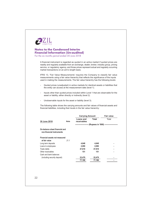

For the six months period ended 30 June 2018

A financial instrument is regarded as quoted in an active market if quoted prices are readily and regularly available from an exchange, dealer, broker, industry group, pricing service, or regulatory agency, and those prices represent actual and regularly occurring market transactions on an arm's length basis.

IFRS 13, 'Fair Value Measurements' requires the Company to classify fair value measurements using a fair value hierarchy that reflects the significance of the inputs used in making the measurements. The fair value hierarchy has the following levels:

- Quoted prices (unadjusted) in active markets for identical assets or liabilities that the entity can access at the measurement date (level 1).
- Inputs other than quoted prices included within Level 1 that are observable for the asset or liability, either directly or indirectly (level 2).
- Unobservable inputs for the asset or liability (level 3).  $\overline{a}$

The following table shows the carrying amounts and fair values of financial assets and financial liabilities, including their levels in the fair value hierarchy:

|                                                             |             | <b>Carrying Amount</b>   |              | Fair value                                                 |  |
|-------------------------------------------------------------|-------------|--------------------------|--------------|------------------------------------------------------------|--|
| 30 June 2018                                                | <b>Note</b> | Loans and<br>receivables | <b>Total</b> | Total                                                      |  |
|                                                             |             |                          |              | -------------------- (Rupees in '000) -------------------- |  |
| On-balance sheet financial and<br>non-financial instruments |             |                          |              |                                                            |  |
| Financial assets not measured                               |             |                          |              |                                                            |  |
| at fair value                                               | 21.1        |                          |              |                                                            |  |
| Long term deposits                                          |             | 4,648                    | 4,648        |                                                            |  |
| Loans to employees                                          |             | 2,090                    | 2,090        |                                                            |  |
| Trade debts                                                 |             | 47,818                   | 47,818       |                                                            |  |
| Other receivables                                           |             | 151                      | 151          |                                                            |  |
| Cash and bank balances                                      |             |                          |              |                                                            |  |
| (including security deposit)                                |             | 22,479                   | 22,479       |                                                            |  |
|                                                             |             | 77,186                   | 77,186       |                                                            |  |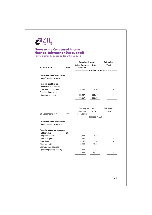

For the six months period ended 30 June 2018

|                                                                                                                                                                                  |             | <b>Carrying Amount</b><br><b>Other financial</b> | <b>Total</b> | <b>Fair value</b><br>Total                              |
|----------------------------------------------------------------------------------------------------------------------------------------------------------------------------------|-------------|--------------------------------------------------|--------------|---------------------------------------------------------|
| 30 June 2018                                                                                                                                                                     | <b>Note</b> | liabilities                                      |              |                                                         |
|                                                                                                                                                                                  |             |                                                  |              | ----------------- (Rupees in '000) -------------------- |
| On-balance sheet financial and<br>non-financial instruments                                                                                                                      |             |                                                  |              |                                                         |
| <b>Financial liabilities not</b>                                                                                                                                                 |             |                                                  |              |                                                         |
| measured at fair value<br>Trade and other payables                                                                                                                               | 21.1        | 110,540                                          | 110,540      |                                                         |
| Short term borrowings                                                                                                                                                            |             |                                                  |              |                                                         |
| (including mark-up)                                                                                                                                                              |             | 229,117                                          | 229,117      |                                                         |
|                                                                                                                                                                                  |             | 339,657                                          | 339,657      |                                                         |
|                                                                                                                                                                                  |             | Carrying Amount                                  |              | Fair value                                              |
| 31 December 2017                                                                                                                                                                 | Note        | Loans and<br>receivables                         | Total        | Total                                                   |
|                                                                                                                                                                                  |             |                                                  |              | --------------- (Rupees in '000) --------------------   |
|                                                                                                                                                                                  |             |                                                  |              |                                                         |
| non-financial instruments                                                                                                                                                        |             |                                                  |              |                                                         |
| at fair value                                                                                                                                                                    | 21.1        |                                                  |              |                                                         |
|                                                                                                                                                                                  |             | 4,656                                            | 4,656        |                                                         |
|                                                                                                                                                                                  |             | 1,426                                            | 1,426        |                                                         |
|                                                                                                                                                                                  |             | 33,545                                           | 33,545       |                                                         |
|                                                                                                                                                                                  |             | 13,208                                           | 13,208       |                                                         |
|                                                                                                                                                                                  |             |                                                  |              |                                                         |
| (including security deposit)                                                                                                                                                     |             | 32,547                                           | 32,547       |                                                         |
|                                                                                                                                                                                  |             | 85,382                                           | 85,382       |                                                         |
| On-balance sheet financial and<br><b>Financial assets not measured</b><br>Long term deposits<br>Loans to employees<br>Trade debts<br>Other receivables<br>Cash and bank balances |             |                                                  |              |                                                         |
|                                                                                                                                                                                  |             |                                                  |              |                                                         |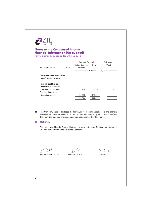

For the six months period ended 30 June 2018

|                                                             |      | <b>Carrying Amount</b>         |         | Fair value                             |
|-------------------------------------------------------------|------|--------------------------------|---------|----------------------------------------|
| 31 December 2017                                            | Note | Other financial<br>liabilities | Total   | Total                                  |
|                                                             |      | ----------------<br>i<br>--    |         | (Rupees in '000) --------------------- |
| On-balance sheet financial and<br>non-financial instruments |      |                                |         |                                        |
| <b>Financial liabilities not</b><br>measured at fair value  | 21.1 |                                |         |                                        |
| Trade and other payables                                    |      | 122.704                        | 122.704 |                                        |
| Short term borrowings                                       |      |                                |         |                                        |
| (including mark-up)                                         |      | 213,001                        | 213,001 |                                        |
|                                                             |      | 335.705                        | 335.705 |                                        |

21.1 The Company has not disclosed the fair values for these financial assets and financial liabilities, as these are either short term in nature or repriced, periodically. Therefore, their carrying amounts are reasonable approximation of their fair values.

#### 22. GENERAL

This condensed interim financial information were authorised for issue on 20 August, 2018 by the board of directors of the Company.

 $2\lambda$ 

 $\mathcal{K}$ 

Chief Financial Officer

Director / CEO

Director

24